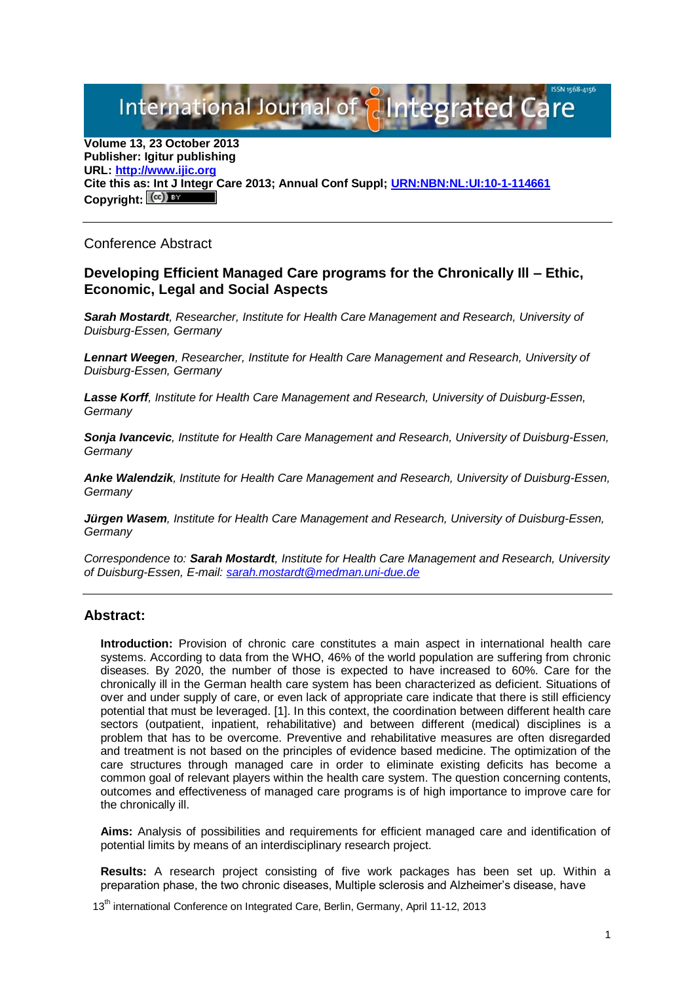International Journal of **Plntegrated** 

**Volume 13, 23 October 2013 Publisher: Igitur publishing URL[: http://www.ijic.org](http://www.ijic.org/) Cite this as: Int J Integr Care 2013; Annual Conf Suppl; [URN:NBN:NL:UI:10-1-114661](http://persistent-identifier.nl/?identifier=URN:NBN:NL:UI:10-1-114661)** Copyright:  $(cc)$ 

Conference Abstract

## **Developing Efficient Managed Care programs for the Chronically Ill – Ethic, Economic, Legal and Social Aspects**

*Sarah Mostardt, Researcher, Institute for Health Care Management and Research, University of Duisburg-Essen, Germany*

*Lennart Weegen, Researcher, Institute for Health Care Management and Research, University of Duisburg-Essen, Germany*

*Lasse Korff, Institute for Health Care Management and Research, University of Duisburg-Essen, Germany*

*Sonja Ivancevic, Institute for Health Care Management and Research, University of Duisburg-Essen, Germany*

*Anke Walendzik, Institute for Health Care Management and Research, University of Duisburg-Essen, Germany*

*Jürgen Wasem, Institute for Health Care Management and Research, University of Duisburg-Essen, Germany*

*Correspondence to: Sarah Mostardt, Institute for Health Care Management and Research, University of Duisburg-Essen, E-mail[: sarah.mostardt@medman.uni-due.de](mailto:sarah.mostardt@medman.uni-due.de)*

## **Abstract:**

**Introduction:** Provision of chronic care constitutes a main aspect in international health care systems. According to data from the WHO, 46% of the world population are suffering from chronic diseases. By 2020, the number of those is expected to have increased to 60%. Care for the chronically ill in the German health care system has been characterized as deficient. Situations of over and under supply of care, or even lack of appropriate care indicate that there is still efficiency potential that must be leveraged. [1]. In this context, the coordination between different health care sectors (outpatient, inpatient, rehabilitative) and between different (medical) disciplines is a problem that has to be overcome. Preventive and rehabilitative measures are often disregarded and treatment is not based on the principles of evidence based medicine. The optimization of the care structures through managed care in order to eliminate existing deficits has become a common goal of relevant players within the health care system. The question concerning contents, outcomes and effectiveness of managed care programs is of high importance to improve care for the chronically ill.

**Aims:** Analysis of possibilities and requirements for efficient managed care and identification of potential limits by means of an interdisciplinary research project.

**Results:** A research project consisting of five work packages has been set up. Within a preparation phase, the two chronic diseases, Multiple sclerosis and Alzheimer's disease, have

13<sup>th</sup> international Conference on Integrated Care, Berlin, Germany, April 11-12, 2013